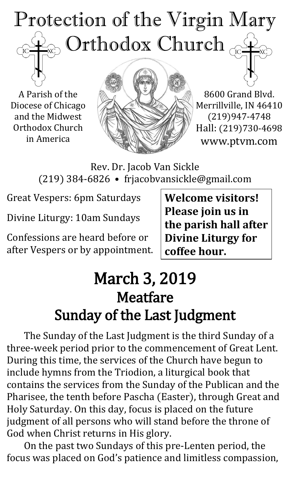# Protection of the Virgin Mary Orthodox Church  $\mathrm{IC}$

A Parish of the Diocese of Chicago and the Midwest Orthodox Church in America



8600 Grand Blvd. Merrillville, IN 46410 (219)947-4748 Hall: (219)730-4698 www.ptvm.com

Rev. Dr. Jacob Van Sickle (219) 384-6826 • frjacobvansickle@gmail.com

Great Vespers: 6pm Saturdays

Divine Liturgy: 10am Sundays

Confessions are heard before or after Vespers or by appointment. **Welcome visitors! Please join us in the parish hall after Divine Liturgy for coffee hour.**

# March 3, 2019 Meatfare Sunday of the Last Judgment

The Sunday of the Last Judgment is the third Sunday of a three-week period prior to the commencement of Great Lent. During this time, the services of the Church have begun to include hymns from the Triodion, a liturgical book that contains the services from the Sunday of the Publican and the Pharisee, the tenth before Pascha (Easter), through Great and Holy Saturday. On this day, focus is placed on the future judgment of all persons who will stand before the throne of God when Christ returns in His glory.

On the past two Sundays of this pre-Lenten period, the focus was placed on God's patience and limitless compassion,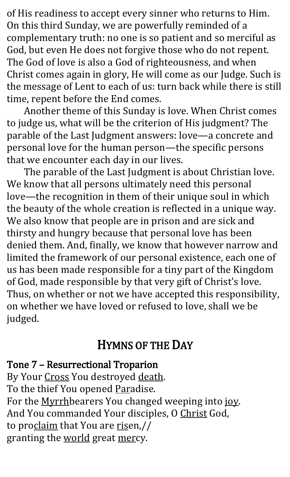of His readiness to accept every sinner who returns to Him. On this third Sunday, we are powerfully reminded of a complementary truth: no one is so patient and so merciful as God, but even He does not forgive those who do not repent. The God of love is also a God of righteousness, and when Christ comes again in glory, He will come as our Judge. Such is the message of Lent to each of us: turn back while there is still time, repent before the End comes.

Another theme of this Sunday is love. When Christ comes to judge us, what will be the criterion of His judgment? The parable of the Last Judgment answers: love—a concrete and personal love for the human person—the specific persons that we encounter each day in our lives.

The parable of the Last Judgment is about Christian love. We know that all persons ultimately need this personal love—the recognition in them of their unique soul in which the beauty of the whole creation is reflected in a unique way. We also know that people are in prison and are sick and thirsty and hungry because that personal love has been denied them. And, finally, we know that however narrow and limited the framework of our personal existence, each one of us has been made responsible for a tiny part of the Kingdom of God, made responsible by that very gift of Christ's love. Thus, on whether or not we have accepted this responsibility, on whether we have loved or refused to love, shall we be judged.

## HYMNS OF THE DAY

#### Tone 7 – Resurrectional Troparion

By Your Cross You destroyed death. To the thief You opened Paradise. For the Myrrhbearers You changed weeping into joy. And You commanded Your disciples, O Christ God, to proclaim that You are risen,// granting the world great mercy.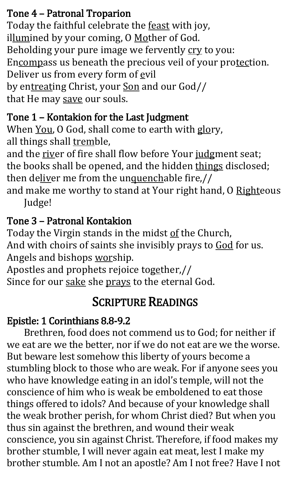#### Tone 4 – Patronal Troparion

Today the faithful celebrate the feast with joy, illumined by your coming, O Mother of God. Beholding your pure image we fervently cry to you: Encompass us beneath the precious veil of your protection. Deliver us from every form of evil by entreating Christ, your Son and our God// that He may save our souls.

### Tone 1 – Kontakion for the Last Judgment

When You, O God, shall come to earth with glory, all things shall tremble,

and the river of fire shall flow before Your judgment seat; the books shall be opened, and the hidden things disclosed; then deliver me from the unquenchable fire,//

and make me worthy to stand at Your right hand, O Righteous Judge!

### Tone 3 – Patronal Kontakion

Today the Virgin stands in the midst of the Church, And with choirs of saints she invisibly prays to God for us. Angels and bishops worship.

Apostles and prophets rejoice together,// Since for our sake she prays to the eternal God.

# SCRIPTURE READINGS

### Epistle: 1 Corinthians 8.8-9.2

Brethren, food does not commend us to God; for neither if we eat are we the better, nor if we do not eat are we the worse. But beware lest somehow this liberty of yours become a stumbling block to those who are weak. For if anyone sees you who have knowledge eating in an idol's temple, will not the conscience of him who is weak be emboldened to eat those things offered to idols? And because of your knowledge shall the weak brother perish, for whom Christ died? But when you thus sin against the brethren, and wound their weak conscience, you sin against Christ. Therefore, if food makes my brother stumble, I will never again eat meat, lest I make my brother stumble. Am I not an apostle? Am I not free? Have I not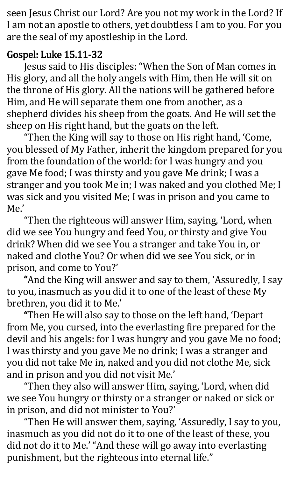seen Jesus Christ our Lord? Are you not my work in the Lord? If I am not an apostle to others, yet doubtless I am to you. For you are the seal of my apostleship in the Lord.

#### Gospel: Luke 15.11-32

Jesus said to His disciples: "When the Son of Man comes in His glory, and all the holy angels with Him, then He will sit on the throne of His glory. All the nations will be gathered before Him, and He will separate them one from another, as a shepherd divides his sheep from the goats. And He will set the sheep on His right hand, but the goats on the left.

"Then the King will say to those on His right hand, 'Come, you blessed of My Father, inherit the kingdom prepared for you from the foundation of the world: for I was hungry and you gave Me food; I was thirsty and you gave Me drink; I was a stranger and you took Me in; I was naked and you clothed Me; I was sick and you visited Me; I was in prison and you came to Me.'

"Then the righteous will answer Him, saying, 'Lord, when did we see You hungry and feed You, or thirsty and give You drink? When did we see You a stranger and take You in, or naked and clothe You? Or when did we see You sick, or in prison, and come to You?'

"And the King will answer and say to them, 'Assuredly, I say to you, inasmuch as you did it to one of the least of these My brethren, you did it to Me.'

"Then He will also say to those on the left hand, 'Depart from Me, you cursed, into the everlasting fire prepared for the devil and his angels: for I was hungry and you gave Me no food; I was thirsty and you gave Me no drink; I was a stranger and you did not take Me in, naked and you did not clothe Me, sick and in prison and you did not visit Me.'

"Then they also will answer Him, saying, 'Lord, when did we see You hungry or thirsty or a stranger or naked or sick or in prison, and did not minister to You?'

"Then He will answer them, saying, 'Assuredly, I say to you, inasmuch as you did not do it to one of the least of these, you did not do it to Me.' "And these will go away into everlasting punishment, but the righteous into eternal life."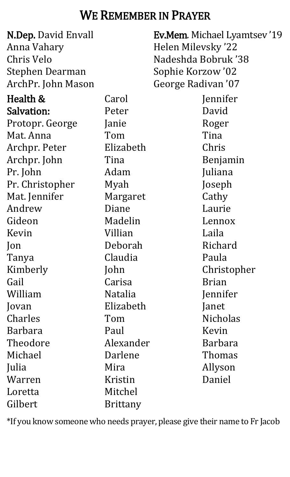## WE REMEMBER IN PRAYER

| <b>N.Dep. David Envall</b> |                 | Ev.Mem. Michael Lyamtsev'19 |
|----------------------------|-----------------|-----------------------------|
| Anna Vahary                |                 | Helen Milevsky '22          |
| Chris Velo                 |                 | Nadeshda Bobruk '38         |
| <b>Stephen Dearman</b>     |                 | Sophie Korzow '02           |
| ArchPr. John Mason         |                 | George Radivan '07          |
| Health &                   | Carol           | Jennifer                    |
| <b>Salvation:</b>          | Peter           | David                       |
| Protopr. George            | Janie           | Roger                       |
| Mat. Anna                  | Tom             | Tina                        |
| Archpr. Peter              | Elizabeth       | Chris                       |
| Archpr. John               | Tina            | Benjamin                    |
| Pr. John                   | Adam            | Juliana                     |
| Pr. Christopher            | Myah            | Joseph                      |
| Mat. Jennifer              | Margaret        | Cathy                       |
| Andrew                     | Diane           | Laurie                      |
| Gideon                     | Madelin         | Lennox                      |
| Kevin                      | Villian         | Laila                       |
| $\mathsf{lon}$             | Deborah         | Richard                     |
| Tanya                      | Claudia         | Paula                       |
| Kimberly                   | John            | Christopher                 |
| Gail                       | Carisa          | <b>Brian</b>                |
| William                    | <b>Natalia</b>  | Jennifer                    |
| Jovan                      | Elizabeth       | Janet                       |
| Charles                    | Tom             | <b>Nicholas</b>             |
| <b>Barbara</b>             | Paul            | Kevin                       |
| Theodore                   | Alexander       | <b>Barbara</b>              |
| Michael                    | Darlene         | Thomas                      |
| Julia                      | Mira            | Allyson                     |
| Warren                     | Kristin         | Daniel                      |
| Loretta                    | Mitchel         |                             |
| Gilbert                    | <b>Brittany</b> |                             |

\*If you know someone who needs prayer, please give their name to Fr Jacob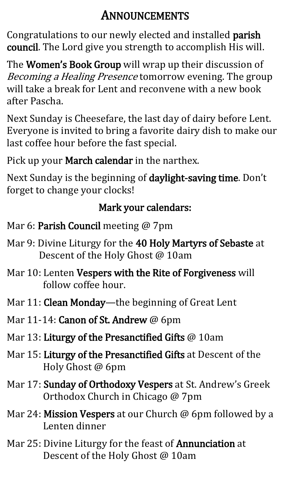## ANNOUNCEMENTS

Congratulations to our newly elected and installed parish council. The Lord give you strength to accomplish His will.

The **Women's Book Group** will wrap up their discussion of Becoming a Healing Presence tomorrow evening. The group will take a break for Lent and reconvene with a new book after Pascha.

Next Sunday is Cheesefare, the last day of dairy before Lent. Everyone is invited to bring a favorite dairy dish to make our last coffee hour before the fast special.

Pick up your March calendar in the narthex.

Next Sunday is the beginning of daylight-saving time. Don't forget to change your clocks!

## Mark your calendars:

- Mar 6: Parish Council meeting @ 7pm
- Mar 9: Divine Liturgy for the 40 Holy Martyrs of Sebaste at Descent of the Holy Ghost @ 10am
- Mar 10: Lenten Vespers with the Rite of Forgiveness will follow coffee hour.
- Mar 11: Clean Monday-the beginning of Great Lent
- Mar 11-14: **Canon of St. Andrew** @ 6pm
- Mar 13: Liturgy of the Presanctified Gifts @ 10am
- Mar 15: Liturgy of the Presanctified Gifts at Descent of the Holy Ghost @ 6pm
- Mar 17: Sunday of Orthodoxy Vespers at St. Andrew's Greek Orthodox Church in Chicago @ 7pm
- Mar 24: Mission Vespers at our Church @ 6pm followed by a Lenten dinner
- Mar 25: Divine Liturgy for the feast of Annunciation at Descent of the Holy Ghost @ 10am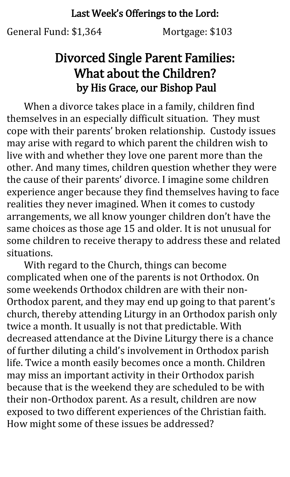#### Last Week's Offerings to the Lord:

General Fund: \$1,364 Mortgage: \$103

## Divorced Single Parent Families: What about the Children? by His Grace, our Bishop Paul

When a divorce takes place in a family, children find themselves in an especially difficult situation. They must cope with their parents' broken relationship. Custody issues may arise with regard to which parent the children wish to live with and whether they love one parent more than the other. And many times, children question whether they were the cause of their parents' divorce. I imagine some children experience anger because they find themselves having to face realities they never imagined. When it comes to custody arrangements, we all know younger children don't have the same choices as those age 15 and older. It is not unusual for some children to receive therapy to address these and related situations.

With regard to the Church, things can become complicated when one of the parents is not Orthodox. On some weekends Orthodox children are with their non-Orthodox parent, and they may end up going to that parent's church, thereby attending Liturgy in an Orthodox parish only twice a month. It usually is not that predictable. With decreased attendance at the Divine Liturgy there is a chance of further diluting a child's involvement in Orthodox parish life. Twice a month easily becomes once a month. Children may miss an important activity in their Orthodox parish because that is the weekend they are scheduled to be with their non-Orthodox parent. As a result, children are now exposed to two different experiences of the Christian faith. How might some of these issues be addressed?